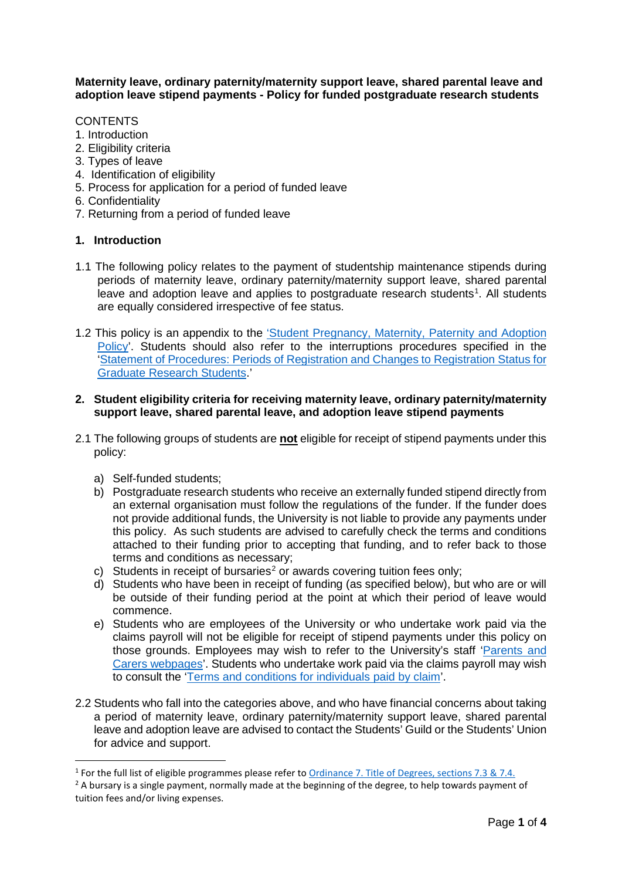**Maternity leave, ordinary paternity/maternity support leave, shared parental leave and adoption leave stipend payments - Policy for funded postgraduate research students** 

### **CONTENTS**

- 1. Introduction
- 2. Eligibility criteria
- 3. Types of leave
- 4. Identification of eligibility
- 5. Process for application for a period of funded leave
- 6. Confidentiality
- 7. Returning from a period of funded leave

#### **1. Introduction**

- 1.1 The following policy relates to the payment of studentship maintenance stipends during periods of maternity leave, ordinary paternity/maternity support leave, shared parental leave and adoption leave and applies to postgraduate research students<sup>[1](#page-0-0)</sup>. All students are equally considered irrespective of fee status.
- 1.2 This policy is an appendix to the 'Student Pregnancy, Maternity, Paternity and Adoption [Policy'](http://as.exeter.ac.uk/academic-policy-standards/tqa-manual/lts/pregnancy/). Students should also refer to the interruptions procedures specified in the ['Statement of Procedures: Periods of Registration and Changes to Registration Status for](https://as.exeter.ac.uk/academic-policy-standards/tqa-manual/pgr/periodsofregistration/)  [Graduate Research Students.](https://as.exeter.ac.uk/academic-policy-standards/tqa-manual/pgr/periodsofregistration/)'

#### **2. Student eligibility criteria for receiving maternity leave, ordinary paternity/maternity support leave, shared parental leave, and adoption leave stipend payments**

- 2.1 The following groups of students are **not** eligible for receipt of stipend payments under this policy:
	- a) Self-funded students;
	- b) Postgraduate research students who receive an externally funded stipend directly from an external organisation must follow the regulations of the funder. If the funder does not provide additional funds, the University is not liable to provide any payments under this policy. As such students are advised to carefully check the terms and conditions attached to their funding prior to accepting that funding, and to refer back to those terms and conditions as necessary;
	- c) Students in receipt of bursaries<sup>[2](#page-0-1)</sup> or awards covering tuition fees only;
	- d) Students who have been in receipt of funding (as specified below), but who are or will be outside of their funding period at the point at which their period of leave would commence.
	- e) Students who are employees of the University or who undertake work paid via the claims payroll will not be eligible for receipt of stipend payments under this policy on those grounds. Employees may wish to refer to the University's staff ['Parents and](http://www.exeter.ac.uk/staff/employment/parents/)  [Carers webpages'](http://www.exeter.ac.uk/staff/employment/parents/). Students who undertake work paid via the claims payroll may wish to consult the ['Terms and conditions for individuals paid by claim'](http://www.exeter.ac.uk/staff/employment/tempworkers/casual/worker/termsandconditionsforclaims/).
- 2.2 Students who fall into the categories above, and who have financial concerns about taking a period of maternity leave, ordinary paternity/maternity support leave, shared parental leave and adoption leave are advised to contact the Students' Guild or the Students' Union for advice and support.

<span id="page-0-0"></span> <sup>1</sup> For the full list of eligible programmes please refer to [Ordinance 7. Title of Degrees, sections 7.3 & 7.4.](http://www.exeter.ac.uk/staff/policies/calendar/part1/ordinances/7/)

<span id="page-0-1"></span><sup>&</sup>lt;sup>2</sup> A bursary is a single payment, normally made at the beginning of the degree, to help towards payment of tuition fees and/or living expenses.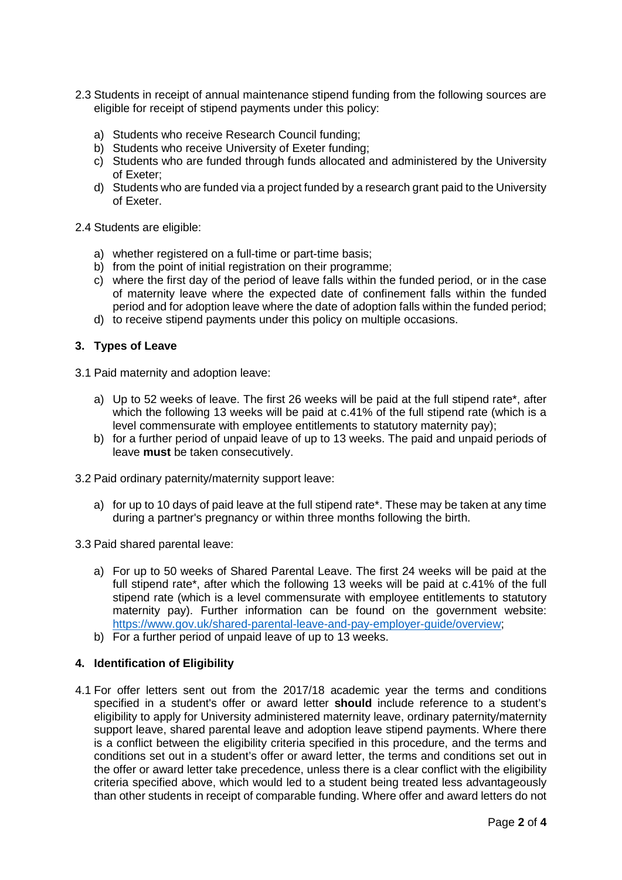- 2.3 Students in receipt of annual maintenance stipend funding from the following sources are eligible for receipt of stipend payments under this policy:
	- a) Students who receive Research Council funding;
	- b) Students who receive University of Exeter funding;
	- c) Students who are funded through funds allocated and administered by the University of Exeter;
	- d) Students who are funded via a project funded by a research grant paid to the University of Exeter.
- 2.4 Students are eligible:
	- a) whether registered on a full-time or part-time basis;
	- b) from the point of initial registration on their programme;
	- c) where the first day of the period of leave falls within the funded period, or in the case of maternity leave where the expected date of confinement falls within the funded period and for adoption leave where the date of adoption falls within the funded period;
	- d) to receive stipend payments under this policy on multiple occasions.

### **3. Types of Leave**

3.1 Paid maternity and adoption leave:

- a) Up to 52 weeks of leave. The first 26 weeks will be paid at the full stipend rate\*, after which the following 13 weeks will be paid at c.41% of the full stipend rate (which is a level commensurate with employee entitlements to statutory maternity pay);
- b) for a further period of unpaid leave of up to 13 weeks. The paid and unpaid periods of leave **must** be taken consecutively.
- 3.2 Paid ordinary paternity/maternity support leave:
	- a) for up to 10 days of paid leave at the full stipend rate\*. These may be taken at any time during a partner's pregnancy or within three months following the birth.
- 3.3 Paid shared parental leave:
	- a) For up to 50 weeks of Shared Parental Leave. The first 24 weeks will be paid at the full stipend rate\*, after which the following 13 weeks will be paid at c.41% of the full stipend rate (which is a level commensurate with employee entitlements to statutory maternity pay). Further information can be found on the government website: [https://www.gov.uk/shared-parental-leave-and-pay-employer-guide/overview;](https://www.gov.uk/shared-parental-leave-and-pay-employer-guide/overview)
	- b) For a further period of unpaid leave of up to 13 weeks.

### **4. Identification of Eligibility**

4.1 For offer letters sent out from the 2017/18 academic year the terms and conditions specified in a student's offer or award letter **should** include reference to a student's eligibility to apply for University administered maternity leave, ordinary paternity/maternity support leave, shared parental leave and adoption leave stipend payments. Where there is a conflict between the eligibility criteria specified in this procedure, and the terms and conditions set out in a student's offer or award letter, the terms and conditions set out in the offer or award letter take precedence, unless there is a clear conflict with the eligibility criteria specified above, which would led to a student being treated less advantageously than other students in receipt of comparable funding. Where offer and award letters do not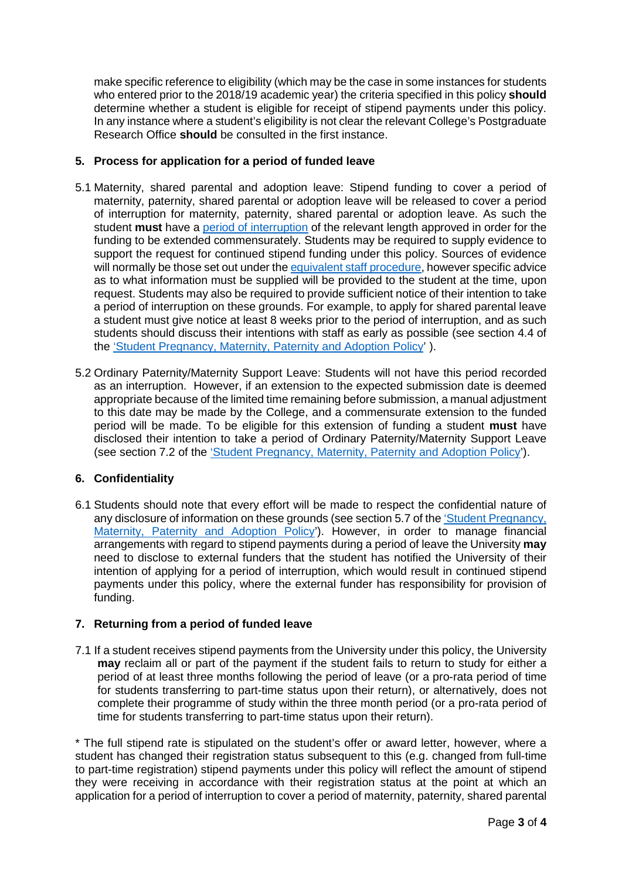make specific reference to eligibility (which may be the case in some instances for students who entered prior to the 2018/19 academic year) the criteria specified in this policy **should**  determine whether a student is eligible for receipt of stipend payments under this policy. In any instance where a student's eligibility is not clear the relevant College's Postgraduate Research Office **should** be consulted in the first instance.

### **5. Process for application for a period of funded leave**

- 5.1 Maternity, shared parental and adoption leave: Stipend funding to cover a period of maternity, paternity, shared parental or adoption leave will be released to cover a period of interruption for maternity, paternity, shared parental or adoption leave. As such the student **must** have a [period of interruption](http://as.exeter.ac.uk/academic-policy-standards/tqa-manual/pgr/periodsofregistration/#interruption) of the relevant length approved in order for the funding to be extended commensurately. Students may be required to supply evidence to support the request for continued stipend funding under this policy. Sources of evidence will normally be those set out under the equivalent [staff procedure,](http://www.exeter.ac.uk/staff/employment/parents/) however specific advice as to what information must be supplied will be provided to the student at the time, upon request. Students may also be required to provide sufficient notice of their intention to take a period of interruption on these grounds. For example, to apply for shared parental leave a student must give notice at least 8 weeks prior to the period of interruption, and as such students should discuss their intentions with staff as early as possible (see section 4.4 of the ['Student Pregnancy, Maternity, Paternity and Adoption Policy'](http://as.exeter.ac.uk/academic-policy-standards/tqa-manual/lts/pregnancy/) ).
- 5.2 Ordinary Paternity/Maternity Support Leave: Students will not have this period recorded as an interruption. However, if an extension to the expected submission date is deemed appropriate because of the limited time remaining before submission, a manual adjustment to this date may be made by the College, and a commensurate extension to the funded period will be made. To be eligible for this extension of funding a student **must** have disclosed their intention to take a period of Ordinary Paternity/Maternity Support Leave (see section 7.2 of the ['Student Pregnancy, Maternity, Paternity and Adoption Policy'\)](http://as.exeter.ac.uk/academic-policy-standards/tqa-manual/lts/pregnancy/).

# **6. Confidentiality**

6.1 Students should note that every effort will be made to respect the confidential nature of any disclosure of information on these grounds (see section 5.7 of the ['Student Pregnancy,](http://as.exeter.ac.uk/academic-policy-standards/tqa-manual/lts/pregnancy/)  [Maternity, Paternity and Adoption Policy'\)](http://as.exeter.ac.uk/academic-policy-standards/tqa-manual/lts/pregnancy/). However, in order to manage financial arrangements with regard to stipend payments during a period of leave the University **may** need to disclose to external funders that the student has notified the University of their intention of applying for a period of interruption, which would result in continued stipend payments under this policy, where the external funder has responsibility for provision of funding.

# **7. Returning from a period of funded leave**

7.1 If a student receives stipend payments from the University under this policy, the University **may** reclaim all or part of the payment if the student fails to return to study for either a period of at least three months following the period of leave (or a pro-rata period of time for students transferring to part-time status upon their return), or alternatively, does not complete their programme of study within the three month period (or a pro-rata period of time for students transferring to part-time status upon their return).

\* The full stipend rate is stipulated on the student's offer or award letter, however, where a student has changed their registration status subsequent to this (e.g. changed from full-time to part-time registration) stipend payments under this policy will reflect the amount of stipend they were receiving in accordance with their registration status at the point at which an application for a period of interruption to cover a period of maternity, paternity, shared parental